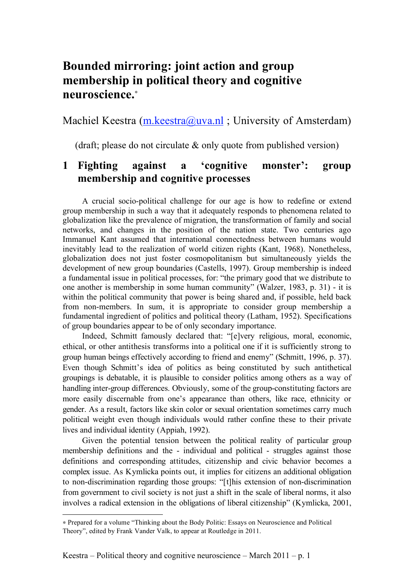# **Bounded mirroring: joint action and group membership in political theory and cognitive neuroscience.**<sup>∗</sup>

Machiel Keestra  $(m \text{.keestra@uva.nl}$ ; University of Amsterdam)

(draft; please do not circulate & only quote from published version)

# **1 Fighting against a 'cognitive monster': group membership and cognitive processes**

A crucial socio-political challenge for our age is how to redefine or extend group membership in such a way that it adequately responds to phenomena related to globalization like the prevalence of migration, the transformation of family and social networks, and changes in the position of the nation state. Two centuries ago Immanuel Kant assumed that international connectedness between humans would inevitably lead to the realization of world citizen rights (Kant, 1968). Nonetheless, globalization does not just foster cosmopolitanism but simultaneously yields the development of new group boundaries (Castells, 1997). Group membership is indeed a fundamental issue in political processes, for: "the primary good that we distribute to one another is membership in some human community" (Walzer, 1983, p. 31) - it is within the political community that power is being shared and, if possible, held back from non-members. In sum, it is appropriate to consider group membership a fundamental ingredient of politics and political theory (Latham, 1952). Specifications of group boundaries appear to be of only secondary importance.

Indeed, Schmitt famously declared that: "[e]very religious, moral, economic, ethical, or other antithesis transforms into a political one if it is sufficiently strong to group human beings effectively according to friend and enemy" (Schmitt, 1996, p. 37). Even though Schmitt's idea of politics as being constituted by such antithetical groupings is debatable, it is plausible to consider politics among others as a way of handling inter-group differences. Obviously, some of the group-constituting factors are more easily discernable from one's appearance than others, like race, ethnicity or gender. As a result, factors like skin color or sexual orientation sometimes carry much political weight even though individuals would rather confine these to their private lives and individual identity (Appiah, 1992).

Given the potential tension between the political reality of particular group membership definitions and the - individual and political - struggles against those definitions and corresponding attitudes, citizenship and civic behavior becomes a complex issue. As Kymlicka points out, it implies for citizens an additional obligation to non-discrimination regarding those groups: "[t]his extension of non-discrimination from government to civil society is not just a shift in the scale of liberal norms, it also involves a radical extension in the obligations of liberal citizenship" (Kymlicka, 2001,

 $\overline{a}$ 

<sup>∗</sup> Prepared for a volume "Thinking about the Body Politic: Essays on Neuroscience and Political Theory", edited by Frank Vander Valk, to appear at Routledge in 2011.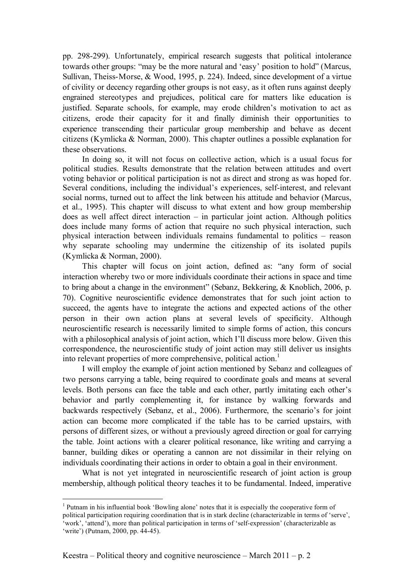pp. 298-299). Unfortunately, empirical research suggests that political intolerance towards other groups: "may be the more natural and 'easy' position to hold" (Marcus, Sullivan, Theiss-Morse, & Wood, 1995, p. 224). Indeed, since development of a virtue of civility or decency regarding other groups is not easy, as it often runs against deeply engrained stereotypes and prejudices, political care for matters like education is justified. Separate schools, for example, may erode children's motivation to act as citizens, erode their capacity for it and finally diminish their opportunities to experience transcending their particular group membership and behave as decent citizens (Kymlicka & Norman, 2000). This chapter outlines a possible explanation for these observations.

In doing so, it will not focus on collective action, which is a usual focus for political studies. Results demonstrate that the relation between attitudes and overt voting behavior or political participation is not as direct and strong as was hoped for. Several conditions, including the individual's experiences, self-interest, and relevant social norms, turned out to affect the link between his attitude and behavior (Marcus, et al., 1995). This chapter will discuss to what extent and how group membership does as well affect direct interaction – in particular joint action. Although politics does include many forms of action that require no such physical interaction, such physical interaction between individuals remains fundamental to politics – reason why separate schooling may undermine the citizenship of its isolated pupils (Kymlicka & Norman, 2000).

This chapter will focus on joint action, defined as: "any form of social interaction whereby two or more individuals coordinate their actions in space and time to bring about a change in the environment" (Sebanz, Bekkering, & Knoblich, 2006, p. 70). Cognitive neuroscientific evidence demonstrates that for such joint action to succeed, the agents have to integrate the actions and expected actions of the other person in their own action plans at several levels of specificity. Although neuroscientific research is necessarily limited to simple forms of action, this concurs with a philosophical analysis of joint action, which I'll discuss more below. Given this correspondence, the neuroscientific study of joint action may still deliver us insights into relevant properties of more comprehensive, political action.<sup>1</sup>

I will employ the example of joint action mentioned by Sebanz and colleagues of two persons carrying a table, being required to coordinate goals and means at several levels. Both persons can face the table and each other, partly imitating each other's behavior and partly complementing it, for instance by walking forwards and backwards respectively (Sebanz, et al., 2006). Furthermore, the scenario's for joint action can become more complicated if the table has to be carried upstairs, with persons of different sizes, or without a previously agreed direction or goal for carrying the table. Joint actions with a clearer political resonance, like writing and carrying a banner, building dikes or operating a cannon are not dissimilar in their relying on individuals coordinating their actions in order to obtain a goal in their environment.

What is not yet integrated in neuroscientific research of joint action is group membership, although political theory teaches it to be fundamental. Indeed, imperative

 $\frac{1}{1}$ <sup>1</sup> Putnam in his influential book 'Bowling alone' notes that it is especially the cooperative form of political participation requiring coordination that is in stark decline (characterizable in terms of 'serve', 'work', 'attend'), more than political participation in terms of 'self-expression' (characterizable as 'write') (Putnam, 2000, pp. 44-45).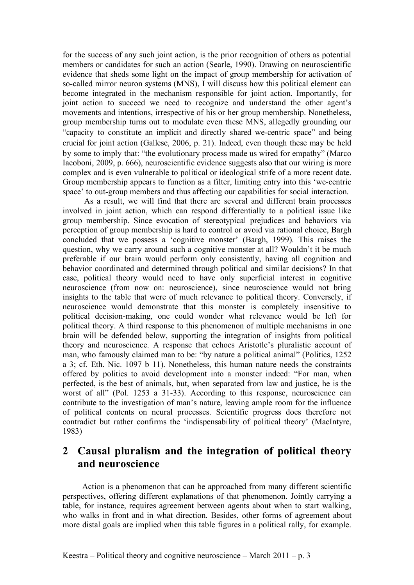for the success of any such joint action, is the prior recognition of others as potential members or candidates for such an action (Searle, 1990). Drawing on neuroscientific evidence that sheds some light on the impact of group membership for activation of so-called mirror neuron systems (MNS), I will discuss how this political element can become integrated in the mechanism responsible for joint action. Importantly, for joint action to succeed we need to recognize and understand the other agent's movements and intentions, irrespective of his or her group membership. Nonetheless, group membership turns out to modulate even these MNS, allegedly grounding our "capacity to constitute an implicit and directly shared we-centric space" and being crucial for joint action (Gallese, 2006, p. 21). Indeed, even though these may be held by some to imply that: "the evolutionary process made us wired for empathy" (Marco Iacoboni, 2009, p. 666), neuroscientific evidence suggests also that our wiring is more complex and is even vulnerable to political or ideological strife of a more recent date. Group membership appears to function as a filter, limiting entry into this 'we-centric space' to out-group members and thus affecting our capabilities for social interaction.

 As a result, we will find that there are several and different brain processes involved in joint action, which can respond differentially to a political issue like group membership. Since evocation of stereotypical prejudices and behaviors via perception of group membership is hard to control or avoid via rational choice, Bargh concluded that we possess a 'cognitive monster' (Bargh, 1999). This raises the question, why we carry around such a cognitive monster at all? Wouldn't it be much preferable if our brain would perform only consistently, having all cognition and behavior coordinated and determined through political and similar decisions? In that case, political theory would need to have only superficial interest in cognitive neuroscience (from now on: neuroscience), since neuroscience would not bring insights to the table that were of much relevance to political theory. Conversely, if neuroscience would demonstrate that this monster is completely insensitive to political decision-making, one could wonder what relevance would be left for political theory. A third response to this phenomenon of multiple mechanisms in one brain will be defended below, supporting the integration of insights from political theory and neuroscience. A response that echoes Aristotle's pluralistic account of man, who famously claimed man to be: "by nature a political animal" (Politics, 1252 a 3; cf. Eth. Nic. 1097 b 11). Nonetheless, this human nature needs the constraints offered by politics to avoid development into a monster indeed: "For man, when perfected, is the best of animals, but, when separated from law and justice, he is the worst of all" (Pol. 1253 a 31-33). According to this response, neuroscience can contribute to the investigation of man's nature, leaving ample room for the influence of political contents on neural processes. Scientific progress does therefore not contradict but rather confirms the 'indispensability of political theory' (MacIntyre, 1983)

#### **2 Causal pluralism and the integration of political theory and neuroscience**

Action is a phenomenon that can be approached from many different scientific perspectives, offering different explanations of that phenomenon. Jointly carrying a table, for instance, requires agreement between agents about when to start walking, who walks in front and in what direction. Besides, other forms of agreement about more distal goals are implied when this table figures in a political rally, for example.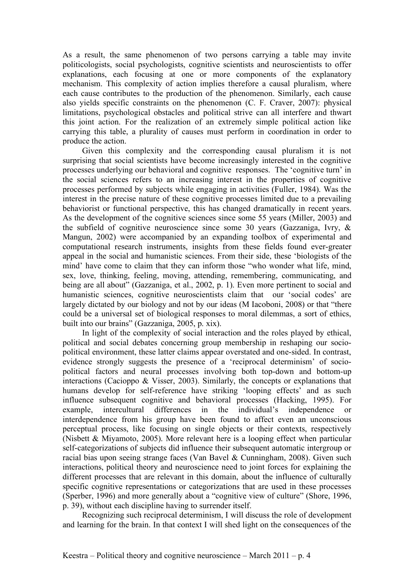As a result, the same phenomenon of two persons carrying a table may invite politicologists, social psychologists, cognitive scientists and neuroscientists to offer explanations, each focusing at one or more components of the explanatory mechanism. This complexity of action implies therefore a causal pluralism, where each cause contributes to the production of the phenomenon. Similarly, each cause also yields specific constraints on the phenomenon (C. F. Craver, 2007): physical limitations, psychological obstacles and political strive can all interfere and thwart this joint action. For the realization of an extremely simple political action like carrying this table, a plurality of causes must perform in coordination in order to produce the action.

Given this complexity and the corresponding causal pluralism it is not surprising that social scientists have become increasingly interested in the cognitive processes underlying our behavioral and cognitive responses. The 'cognitive turn' in the social sciences refers to an increasing interest in the properties of cognitive processes performed by subjects while engaging in activities (Fuller, 1984). Was the interest in the precise nature of these cognitive processes limited due to a prevailing behaviorist or functional perspective, this has changed dramatically in recent years. As the development of the cognitive sciences since some 55 years (Miller, 2003) and the subfield of cognitive neuroscience since some 30 years (Gazzaniga, Ivry, & Mangun, 2002) were accompanied by an expanding toolbox of experimental and computational research instruments, insights from these fields found ever-greater appeal in the social and humanistic sciences. From their side, these 'biologists of the mind' have come to claim that they can inform those "who wonder what life, mind, sex, love, thinking, feeling, moving, attending, remembering, communicating, and being are all about" (Gazzaniga, et al., 2002, p. 1). Even more pertinent to social and humanistic sciences, cognitive neuroscientists claim that our 'social codes' are largely dictated by our biology and not by our ideas (M Iacoboni, 2008) or that "there could be a universal set of biological responses to moral dilemmas, a sort of ethics, built into our brains" (Gazzaniga, 2005, p. xix).

In light of the complexity of social interaction and the roles played by ethical, political and social debates concerning group membership in reshaping our sociopolitical environment, these latter claims appear overstated and one-sided. In contrast, evidence strongly suggests the presence of a 'reciprocal determinism' of sociopolitical factors and neural processes involving both top-down and bottom-up interactions (Cacioppo & Visser, 2003). Similarly, the concepts or explanations that humans develop for self-reference have striking 'looping effects' and as such influence subsequent cognitive and behavioral processes (Hacking, 1995). For example, intercultural differences in the individual's independence or interdependence from his group have been found to affect even an unconscious perceptual process, like focusing on single objects or their contexts, respectively (Nisbett & Miyamoto, 2005). More relevant here is a looping effect when particular self-categorizations of subjects did influence their subsequent automatic intergroup or racial bias upon seeing strange faces (Van Bavel & Cunningham, 2008). Given such interactions, political theory and neuroscience need to joint forces for explaining the different processes that are relevant in this domain, about the influence of culturally specific cognitive representations or categorizations that are used in these processes (Sperber, 1996) and more generally about a "cognitive view of culture" (Shore, 1996, p. 39), without each discipline having to surrender itself.

Recognizing such reciprocal determinism, I will discuss the role of development and learning for the brain. In that context I will shed light on the consequences of the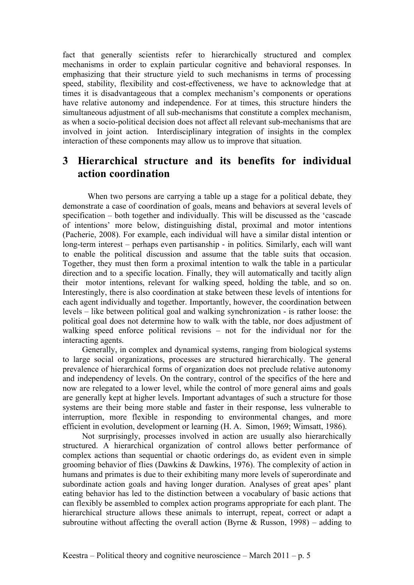fact that generally scientists refer to hierarchically structured and complex mechanisms in order to explain particular cognitive and behavioral responses. In emphasizing that their structure yield to such mechanisms in terms of processing speed, stability, flexibility and cost-effectiveness, we have to acknowledge that at times it is disadvantageous that a complex mechanism's components or operations have relative autonomy and independence. For at times, this structure hinders the simultaneous adjustment of all sub-mechanisms that constitute a complex mechanism, as when a socio-political decision does not affect all relevant sub-mechanisms that are involved in joint action. Interdisciplinary integration of insights in the complex interaction of these components may allow us to improve that situation.

#### **3 Hierarchical structure and its benefits for individual action coordination**

When two persons are carrying a table up a stage for a political debate, they demonstrate a case of coordination of goals, means and behaviors at several levels of specification – both together and individually. This will be discussed as the 'cascade of intentions' more below, distinguishing distal, proximal and motor intentions (Pacherie, 2008). For example, each individual will have a similar distal intention or long-term interest – perhaps even partisanship - in politics. Similarly, each will want to enable the political discussion and assume that the table suits that occasion. Together, they must then form a proximal intention to walk the table in a particular direction and to a specific location. Finally, they will automatically and tacitly align their motor intentions, relevant for walking speed, holding the table, and so on. Interestingly, there is also coordination at stake between these levels of intentions for each agent individually and together. Importantly, however, the coordination between levels – like between political goal and walking synchronization - is rather loose: the political goal does not determine how to walk with the table, nor does adjustment of walking speed enforce political revisions – not for the individual nor for the interacting agents.

Generally, in complex and dynamical systems, ranging from biological systems to large social organizations, processes are structured hierarchically. The general prevalence of hierarchical forms of organization does not preclude relative autonomy and independency of levels. On the contrary, control of the specifics of the here and now are relegated to a lower level, while the control of more general aims and goals are generally kept at higher levels. Important advantages of such a structure for those systems are their being more stable and faster in their response, less vulnerable to interruption, more flexible in responding to environmental changes, and more efficient in evolution, development or learning (H. A. Simon, 1969; Wimsatt, 1986).

Not surprisingly, processes involved in action are usually also hierarchically structured. A hierarchical organization of control allows better performance of complex actions than sequential or chaotic orderings do, as evident even in simple grooming behavior of flies (Dawkins & Dawkins, 1976). The complexity of action in humans and primates is due to their exhibiting many more levels of superordinate and subordinate action goals and having longer duration. Analyses of great apes' plant eating behavior has led to the distinction between a vocabulary of basic actions that can flexibly be assembled to complex action programs appropriate for each plant. The hierarchical structure allows these animals to interrupt, repeat, correct or adapt a subroutine without affecting the overall action (Byrne  $\&$  Russon, 1998) – adding to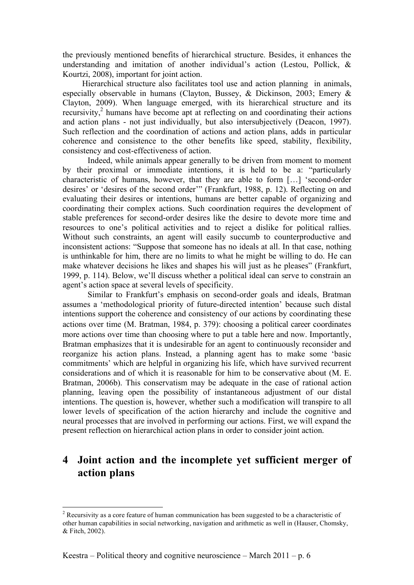the previously mentioned benefits of hierarchical structure. Besides, it enhances the understanding and imitation of another individual's action (Lestou, Pollick, & Kourtzi, 2008), important for joint action.

Hierarchical structure also facilitates tool use and action planning in animals, especially observable in humans (Clayton, Bussey, & Dickinson, 2003; Emery & Clayton, 2009). When language emerged, with its hierarchical structure and its recursivity,<sup>2</sup> humans have become apt at reflecting on and coordinating their actions and action plans - not just individually, but also intersubjectively (Deacon, 1997). Such reflection and the coordination of actions and action plans, adds in particular coherence and consistence to the other benefits like speed, stability, flexibility, consistency and cost-effectiveness of action.

Indeed, while animals appear generally to be driven from moment to moment by their proximal or immediate intentions, it is held to be a: "particularly characteristic of humans, however, that they are able to form […] 'second-order desires' or 'desires of the second order'" (Frankfurt, 1988, p. 12). Reflecting on and evaluating their desires or intentions, humans are better capable of organizing and coordinating their complex actions. Such coordination requires the development of stable preferences for second-order desires like the desire to devote more time and resources to one's political activities and to reject a dislike for political rallies. Without such constraints, an agent will easily succumb to counterproductive and inconsistent actions: "Suppose that someone has no ideals at all. In that case, nothing is unthinkable for him, there are no limits to what he might be willing to do. He can make whatever decisions he likes and shapes his will just as he pleases" (Frankfurt, 1999, p. 114). Below, we'll discuss whether a political ideal can serve to constrain an agent's action space at several levels of specificity.

Similar to Frankfurt's emphasis on second-order goals and ideals, Bratman assumes a 'methodological priority of future-directed intention' because such distal intentions support the coherence and consistency of our actions by coordinating these actions over time (M. Bratman, 1984, p. 379): choosing a political career coordinates more actions over time than choosing where to put a table here and now. Importantly, Bratman emphasizes that it is undesirable for an agent to continuously reconsider and reorganize his action plans. Instead, a planning agent has to make some 'basic commitments' which are helpful in organizing his life, which have survived recurrent considerations and of which it is reasonable for him to be conservative about (M. E. Bratman, 2006b). This conservatism may be adequate in the case of rational action planning, leaving open the possibility of instantaneous adjustment of our distal intentions. The question is, however, whether such a modification will transpire to all lower levels of specification of the action hierarchy and include the cognitive and neural processes that are involved in performing our actions. First, we will expand the present reflection on hierarchical action plans in order to consider joint action.

#### **4 Joint action and the incomplete yet sufficient merger of action plans**

 $\frac{1}{2}$ <sup>2</sup> Recursivity as a core feature of human communication has been suggested to be a characteristic of other human capabilities in social networking, navigation and arithmetic as well in (Hauser, Chomsky, & Fitch, 2002).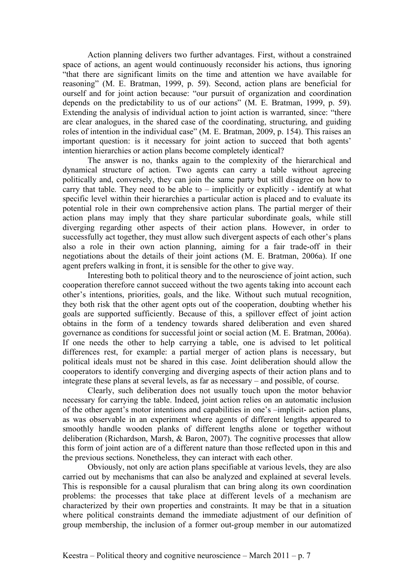Action planning delivers two further advantages. First, without a constrained space of actions, an agent would continuously reconsider his actions, thus ignoring "that there are significant limits on the time and attention we have available for reasoning" (M. E. Bratman, 1999, p. 59). Second, action plans are beneficial for ourself and for joint action because: "our pursuit of organization and coordination depends on the predictability to us of our actions" (M. E. Bratman, 1999, p. 59). Extending the analysis of individual action to joint action is warranted, since: "there are clear analogues, in the shared case of the coordinating, structuring, and guiding roles of intention in the individual case" (M. E. Bratman, 2009, p. 154). This raises an important question: is it necessary for joint action to succeed that both agents' intention hierarchies or action plans become completely identical?

The answer is no, thanks again to the complexity of the hierarchical and dynamical structure of action. Two agents can carry a table without agreeing politically and, conversely, they can join the same party but still disagree on how to carry that table. They need to be able to – implicitly or explicitly - identify at what specific level within their hierarchies a particular action is placed and to evaluate its potential role in their own comprehensive action plans. The partial merger of their action plans may imply that they share particular subordinate goals, while still diverging regarding other aspects of their action plans. However, in order to successfully act together, they must allow such divergent aspects of each other's plans also a role in their own action planning, aiming for a fair trade-off in their negotiations about the details of their joint actions (M. E. Bratman, 2006a). If one agent prefers walking in front, it is sensible for the other to give way.

Interesting both to political theory and to the neuroscience of joint action, such cooperation therefore cannot succeed without the two agents taking into account each other's intentions, priorities, goals, and the like. Without such mutual recognition, they both risk that the other agent opts out of the cooperation, doubting whether his goals are supported sufficiently. Because of this, a spillover effect of joint action obtains in the form of a tendency towards shared deliberation and even shared governance as conditions for successful joint or social action (M. E. Bratman, 2006a). If one needs the other to help carrying a table, one is advised to let political differences rest, for example: a partial merger of action plans is necessary, but political ideals must not be shared in this case. Joint deliberation should allow the cooperators to identify converging and diverging aspects of their action plans and to integrate these plans at several levels, as far as necessary – and possible, of course.

Clearly, such deliberation does not usually touch upon the motor behavior necessary for carrying the table. Indeed, joint action relies on an automatic inclusion of the other agent's motor intentions and capabilities in one's –implicit- action plans, as was observable in an experiment where agents of different lengths appeared to smoothly handle wooden planks of different lengths alone or together without deliberation (Richardson, Marsh, & Baron, 2007). The cognitive processes that allow this form of joint action are of a different nature than those reflected upon in this and the previous sections. Nonetheless, they can interact with each other.

Obviously, not only are action plans specifiable at various levels, they are also carried out by mechanisms that can also be analyzed and explained at several levels. This is responsible for a causal pluralism that can bring along its own coordination problems: the processes that take place at different levels of a mechanism are characterized by their own properties and constraints. It may be that in a situation where political constraints demand the immediate adjustment of our definition of group membership, the inclusion of a former out-group member in our automatized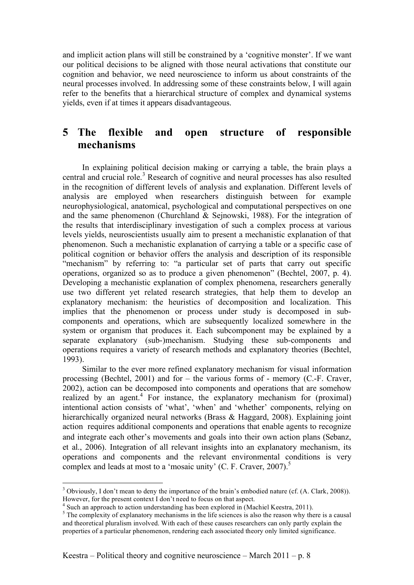and implicit action plans will still be constrained by a 'cognitive monster'. If we want our political decisions to be aligned with those neural activations that constitute our cognition and behavior, we need neuroscience to inform us about constraints of the neural processes involved. In addressing some of these constraints below, I will again refer to the benefits that a hierarchical structure of complex and dynamical systems yields, even if at times it appears disadvantageous.

#### **5 The flexible and open structure of responsible mechanisms**

In explaining political decision making or carrying a table, the brain plays a central and crucial role.<sup>3</sup> Research of cognitive and neural processes has also resulted in the recognition of different levels of analysis and explanation. Different levels of analysis are employed when researchers distinguish between for example neurophysiological, anatomical, psychological and computational perspectives on one and the same phenomenon (Churchland & Sejnowski, 1988). For the integration of the results that interdisciplinary investigation of such a complex process at various levels yields, neuroscientists usually aim to present a mechanistic explanation of that phenomenon. Such a mechanistic explanation of carrying a table or a specific case of political cognition or behavior offers the analysis and description of its responsible "mechanism" by referring to: "a particular set of parts that carry out specific operations, organized so as to produce a given phenomenon" (Bechtel, 2007, p. 4). Developing a mechanistic explanation of complex phenomena, researchers generally use two different yet related research strategies, that help them to develop an explanatory mechanism: the heuristics of decomposition and localization. This implies that the phenomenon or process under study is decomposed in subcomponents and operations, which are subsequently localized somewhere in the system or organism that produces it. Each subcomponent may be explained by a separate explanatory (sub-)mechanism. Studying these sub-components and operations requires a variety of research methods and explanatory theories (Bechtel, 1993).

Similar to the ever more refined explanatory mechanism for visual information processing (Bechtel, 2001) and for – the various forms of - memory (C.-F. Craver, 2002), action can be decomposed into components and operations that are somehow realized by an agent.<sup>4</sup> For instance, the explanatory mechanism for (proximal) intentional action consists of 'what', 'when' and 'whether' components, relying on hierarchically organized neural networks (Brass & Haggard, 2008). Explaining joint action requires additional components and operations that enable agents to recognize and integrate each other's movements and goals into their own action plans (Sebanz, et al., 2006). Integration of all relevant insights into an explanatory mechanism, its operations and components and the relevant environmental conditions is very complex and leads at most to a 'mosaic unity' (C. F. Craver, 2007).<sup>5</sup>

 <sup>3</sup> <sup>3</sup> Obviously, I don't mean to deny the importance of the brain's embodied nature (cf.  $(A, Clark, 2008)$ ). However, for the present context I don't need to focus on that aspect.

<sup>&</sup>lt;sup>4</sup> Such an approach to action understanding has been explored in (Machiel Keestra, 2011).

 $\frac{1}{2}$ . The complexity of explanatory mechanisms in the life sciences is also the reason why there is a causal and theoretical pluralism involved. With each of these causes researchers can only partly explain the properties of a particular phenomenon, rendering each associated theory only limited significance.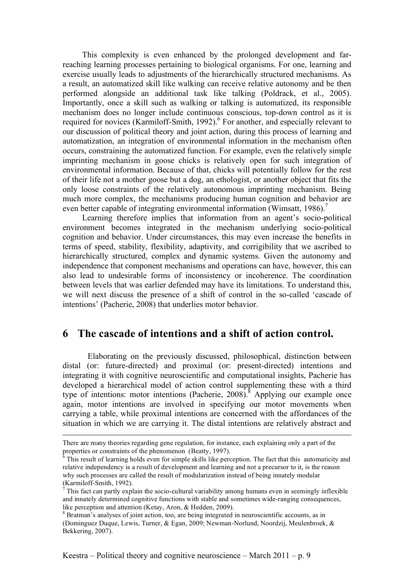This complexity is even enhanced by the prolonged development and farreaching learning processes pertaining to biological organisms. For one, learning and exercise usually leads to adjustments of the hierarchically structured mechanisms. As a result, an automatized skill like walking can receive relative autonomy and be then performed alongside an additional task like talking (Poldrack, et al., 2005). Importantly, once a skill such as walking or talking is automatized, its responsible mechanism does no longer include continuous conscious, top-down control as it is required for novices (Karmiloff-Smith, 1992). 6 For another, and especially relevant to our discussion of political theory and joint action, during this process of learning and automatization, an integration of environmental information in the mechanism often occurs, constraining the automatized function. For example, even the relatively simple imprinting mechanism in goose chicks is relatively open for such integration of environmental information. Because of that, chicks will potentially follow for the rest of their life not a mother goose but a dog, an ethologist, or another object that fits the only loose constraints of the relatively autonomous imprinting mechanism. Being much more complex, the mechanisms producing human cognition and behavior are even better capable of integrating environmental information (Wimsatt, 1986).<sup>7</sup>

Learning therefore implies that information from an agent's socio-political environment becomes integrated in the mechanism underlying socio-political cognition and behavior. Under circumstances, this may even increase the benefits in terms of speed, stability, flexibility, adaptivity, and corrigibility that we ascribed to hierarchically structured, complex and dynamic systems. Given the autonomy and independence that component mechanisms and operations can have, however, this can also lead to undesirable forms of inconsistency or incoherence. The coordination between levels that was earlier defended may have its limitations. To understand this, we will next discuss the presence of a shift of control in the so-called 'cascade of intentions' (Pacherie, 2008) that underlies motor behavior.

#### **6 The cascade of intentions and a shift of action control.**

Elaborating on the previously discussed, philosophical, distinction between distal (or: future-directed) and proximal (or: present-directed) intentions and integrating it with cognitive neuroscientific and computational insights, Pacherie has developed a hierarchical model of action control supplementing these with a third type of intentions: motor intentions (Pacherie, 2008).<sup>8</sup> Applying our example once again, motor intentions are involved in specifying our motor movements when carrying a table, while proximal intentions are concerned with the affordances of the situation in which we are carrying it. The distal intentions are relatively abstract and

There are many theories regarding gene regulation, for instance, each explaining only a part of the properties or constraints of the phenomenon (Beatty, 1997).

<sup>&</sup>lt;sup>6</sup> This result of learning holds even for simple skills like perception. The fact that this automaticity and relative independency is a result of development and learning and not a precursor to it, is the reason why such processes are called the result of modularization instead of being innately modular (Karmiloff-Smith, 1992).<br><sup>7</sup> This fact can partly explain the socio-cultural variability among humans even in seemingly inflexible

and innately determined cognitive functions with stable and sometimes wide-ranging consequences, like perception and attention (Ketay, Aron, & Hedden, 2009).

<sup>&</sup>lt;sup>8</sup> Bratman's analyses of joint action, too, are being integrated in neuroscientific accounts, as in (Dominguez Duque, Lewis, Turner, & Egan, 2009; Newman-Norlund, Noordzij, Meulenbroek, & Bekkering, 2007).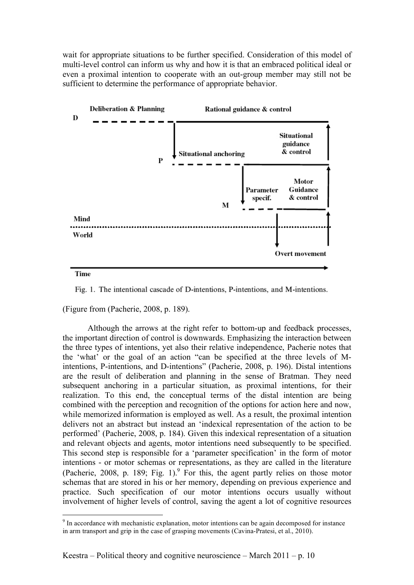wait for appropriate situations to be further specified. Consideration of this model of multi-level control can inform us why and how it is that an embraced political ideal or even a proximal intention to cooperate with an out-group member may still not be sufficient to determine the performance of appropriate behavior.



Time

Fig. 1. The intentional cascade of D-intentions, P-intentions, and M-intentions.

(Figure from (Pacherie, 2008, p. 189).

Although the arrows at the right refer to bottom-up and feedback processes, the important direction of control is downwards. Emphasizing the interaction between the three types of intentions, yet also their relative independence, Pacherie notes that the 'what' or the goal of an action "can be specified at the three levels of Mintentions, P-intentions, and D-intentions" (Pacherie, 2008, p. 196). Distal intentions are the result of deliberation and planning in the sense of Bratman. They need subsequent anchoring in a particular situation, as proximal intentions, for their realization. To this end, the conceptual terms of the distal intention are being combined with the perception and recognition of the options for action here and now, while memorized information is employed as well. As a result, the proximal intention delivers not an abstract but instead an 'indexical representation of the action to be performed' (Pacherie, 2008, p. 184). Given this indexical representation of a situation and relevant objects and agents, motor intentions need subsequently to be specified. This second step is responsible for a 'parameter specification' in the form of motor intentions - or motor schemas or representations, as they are called in the literature (Pacherie, 2008, p. 189; Fig. 1). <sup>9</sup> For this, the agent partly relies on those motor schemas that are stored in his or her memory, depending on previous experience and practice. Such specification of our motor intentions occurs usually without involvement of higher levels of control, saving the agent a lot of cognitive resources

<sup>-&</sup>lt;br>9 <sup>9</sup> In accordance with mechanistic explanation, motor intentions can be again decomposed for instance in arm transport and grip in the case of grasping movements (Cavina-Pratesi, et al., 2010).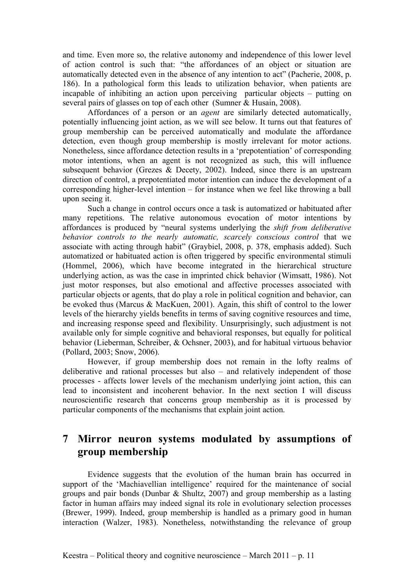and time. Even more so, the relative autonomy and independence of this lower level of action control is such that: "the affordances of an object or situation are automatically detected even in the absence of any intention to act" (Pacherie, 2008, p. 186). In a pathological form this leads to utilization behavior, when patients are incapable of inhibiting an action upon perceiving particular objects – putting on several pairs of glasses on top of each other (Sumner & Husain, 2008).

Affordances of a person or an *agent* are similarly detected automatically, potentially influencing joint action, as we will see below. It turns out that features of group membership can be perceived automatically and modulate the affordance detection, even though group membership is mostly irrelevant for motor actions. Nonetheless, since affordance detection results in a 'prepotentiation' of corresponding motor intentions, when an agent is not recognized as such, this will influence subsequent behavior (Grezes & Decety, 2002). Indeed, since there is an upstream direction of control, a prepotentiated motor intention can induce the development of a corresponding higher-level intention – for instance when we feel like throwing a ball upon seeing it.

Such a change in control occurs once a task is automatized or habituated after many repetitions. The relative autonomous evocation of motor intentions by affordances is produced by "neural systems underlying the *shift from deliberative behavior controls to the nearly automatic, scarcely conscious control* that we associate with acting through habit" (Graybiel, 2008, p. 378, emphasis added). Such automatized or habituated action is often triggered by specific environmental stimuli (Hommel, 2006), which have become integrated in the hierarchical structure underlying action, as was the case in imprinted chick behavior (Wimsatt, 1986). Not just motor responses, but also emotional and affective processes associated with particular objects or agents, that do play a role in political cognition and behavior, can be evoked thus (Marcus & MacKuen, 2001). Again, this shift of control to the lower levels of the hierarchy yields benefits in terms of saving cognitive resources and time, and increasing response speed and flexibility. Unsurprisingly, such adjustment is not available only for simple cognitive and behavioral responses, but equally for political behavior (Lieberman, Schreiber, & Ochsner, 2003), and for habitual virtuous behavior (Pollard, 2003; Snow, 2006).

However, if group membership does not remain in the lofty realms of deliberative and rational processes but also – and relatively independent of those processes - affects lower levels of the mechanism underlying joint action, this can lead to inconsistent and incoherent behavior. In the next section I will discuss neuroscientific research that concerns group membership as it is processed by particular components of the mechanisms that explain joint action.

## **7 Mirror neuron systems modulated by assumptions of group membership**

Evidence suggests that the evolution of the human brain has occurred in support of the 'Machiavellian intelligence' required for the maintenance of social groups and pair bonds (Dunbar & Shultz, 2007) and group membership as a lasting factor in human affairs may indeed signal its role in evolutionary selection processes (Brewer, 1999). Indeed, group membership is handled as a primary good in human interaction (Walzer, 1983). Nonetheless, notwithstanding the relevance of group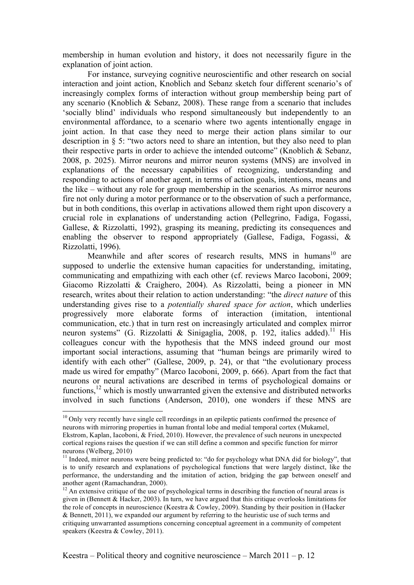membership in human evolution and history, it does not necessarily figure in the explanation of joint action.

For instance, surveying cognitive neuroscientific and other research on social interaction and joint action, Knoblich and Sebanz sketch four different scenario's of increasingly complex forms of interaction without group membership being part of any scenario (Knoblich & Sebanz, 2008). These range from a scenario that includes 'socially blind' individuals who respond simultaneously but independently to an environmental affordance, to a scenario where two agents intentionally engage in joint action. In that case they need to merge their action plans similar to our description in § 5: "two actors need to share an intention, but they also need to plan their respective parts in order to achieve the intended outcome" (Knoblich & Sebanz, 2008, p. 2025). Mirror neurons and mirror neuron systems (MNS) are involved in explanations of the necessary capabilities of recognizing, understanding and responding to actions of another agent, in terms of action goals, intentions, means and the like – without any role for group membership in the scenarios. As mirror neurons fire not only during a motor performance or to the observation of such a performance, but in both conditions, this overlap in activations allowed them right upon discovery a crucial role in explanations of understanding action (Pellegrino, Fadiga, Fogassi, Gallese, & Rizzolatti, 1992), grasping its meaning, predicting its consequences and enabling the observer to respond appropriately (Gallese, Fadiga, Fogassi, & Rizzolatti, 1996).

Meanwhile and after scores of research results, MNS in humans<sup>10</sup> are supposed to underlie the extensive human capacities for understanding, imitating, communicating and empathizing with each other (cf. reviews Marco Iacoboni, 2009; Giacomo Rizzolatti & Craighero, 2004). As Rizzolatti, being a pioneer in MN research, writes about their relation to action understanding: "the *direct nature* of this understanding gives rise to a *potentially shared space for action*, which underlies progressively more elaborate forms of interaction (imitation, intentional communication, etc.) that in turn rest on increasingly articulated and complex mirror neuron systems" (G. Rizzolatti & Sinigaglia, 2008, p. 192, italics added).<sup>11</sup> His colleagues concur with the hypothesis that the MNS indeed ground our most important social interactions, assuming that "human beings are primarily wired to identify with each other" (Gallese, 2009, p. 24), or that "the evolutionary process made us wired for empathy" (Marco Iacoboni, 2009, p. 666). Apart from the fact that neurons or neural activations are described in terms of psychological domains or functions, $12$  which is mostly unwarranted given the extensive and distributed networks involved in such functions (Anderson, 2010), one wonders if these MNS are

 $10$  Only very recently have single cell recordings in an epileptic patients confirmed the presence of neurons with mirroring properties in human frontal lobe and medial temporal cortex (Mukamel, Ekstrom, Kaplan, Iacoboni, & Fried, 2010). However, the prevalence of such neurons in unexpected cortical regions raises the question if we can still define a common and specific function for mirror neurons (Welberg, 2010)<br><sup>11</sup> Indeed, mirror neurons were being predicted to: "do for psychology what DNA did for biology", that

is to unify research and explanations of psychological functions that were largely distinct, like the performance, the understanding and the imitation of action, bridging the gap between oneself and another agent (Ramachandran, 2000).<br><sup>12</sup> An extensive critique of the use of psychological terms in describing the function of neural areas is

given in (Bennett & Hacker, 2003). In turn, we have argued that this critique overlooks limitations for the role of concepts in neuroscience (Keestra & Cowley, 2009). Standing by their position in (Hacker & Bennett, 2011), we expanded our argument by referring to the heuristic use of such terms and critiquing unwarranted assumptions concerning conceptual agreement in a community of competent speakers (Keestra & Cowley, 2011).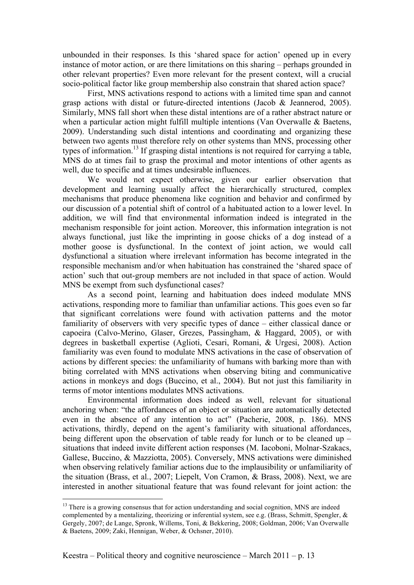unbounded in their responses. Is this 'shared space for action' opened up in every instance of motor action, or are there limitations on this sharing – perhaps grounded in other relevant properties? Even more relevant for the present context, will a crucial socio-political factor like group membership also constrain that shared action space?

First, MNS activations respond to actions with a limited time span and cannot grasp actions with distal or future-directed intentions (Jacob & Jeannerod, 2005). Similarly, MNS fall short when these distal intentions are of a rather abstract nature or when a particular action might fulfill multiple intentions (Van Overwalle & Baetens, 2009). Understanding such distal intentions and coordinating and organizing these between two agents must therefore rely on other systems than MNS, processing other types of information.<sup>13</sup> If grasping distal intentions is not required for carrying a table, MNS do at times fail to grasp the proximal and motor intentions of other agents as well, due to specific and at times undesirable influences.

We would not expect otherwise, given our earlier observation that development and learning usually affect the hierarchically structured, complex mechanisms that produce phenomena like cognition and behavior and confirmed by our discussion of a potential shift of control of a habituated action to a lower level. In addition, we will find that environmental information indeed is integrated in the mechanism responsible for joint action. Moreover, this information integration is not always functional, just like the imprinting in goose chicks of a dog instead of a mother goose is dysfunctional. In the context of joint action, we would call dysfunctional a situation where irrelevant information has become integrated in the responsible mechanism and/or when habituation has constrained the 'shared space of action' such that out-group members are not included in that space of action. Would MNS be exempt from such dysfunctional cases?

As a second point, learning and habituation does indeed modulate MNS activations, responding more to familiar than unfamiliar actions. This goes even so far that significant correlations were found with activation patterns and the motor familiarity of observers with very specific types of dance – either classical dance or capoeira (Calvo-Merino, Glaser, Grezes, Passingham, & Haggard, 2005), or with degrees in basketball expertise (Aglioti, Cesari, Romani, & Urgesi, 2008). Action familiarity was even found to modulate MNS activations in the case of observation of actions by different species: the unfamiliarity of humans with barking more than with biting correlated with MNS activations when observing biting and communicative actions in monkeys and dogs (Buccino, et al., 2004). But not just this familiarity in terms of motor intentions modulates MNS activations.

Environmental information does indeed as well, relevant for situational anchoring when: "the affordances of an object or situation are automatically detected even in the absence of any intention to act" (Pacherie, 2008, p. 186). MNS activations, thirdly, depend on the agent's familiarity with situational affordances, being different upon the observation of table ready for lunch or to be cleaned up – situations that indeed invite different action responses (M. Iacoboni, Molnar-Szakacs, Gallese, Buccino, & Mazziotta, 2005). Conversely, MNS activations were diminished when observing relatively familiar actions due to the implausibility or unfamiliarity of the situation (Brass, et al., 2007; Liepelt, Von Cramon, & Brass, 2008). Next, we are interested in another situational feature that was found relevant for joint action: the

 $13$  There is a growing consensus that for action understanding and social cognition, MNS are indeed complemented by a mentalizing, theorizing or inferential system, see e.g. (Brass, Schmitt, Spengler, & Gergely, 2007; de Lange, Spronk, Willems, Toni, & Bekkering, 2008; Goldman, 2006; Van Overwalle & Baetens, 2009; Zaki, Hennigan, Weber, & Ochsner, 2010).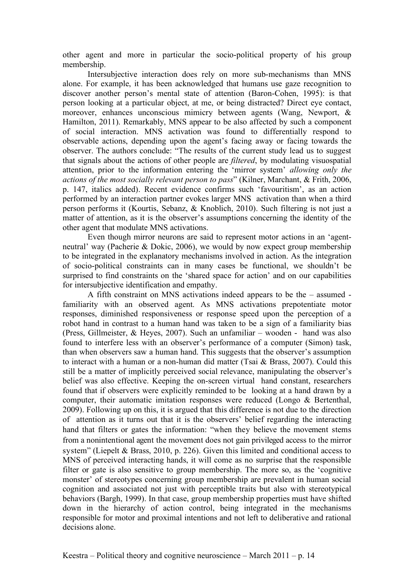other agent and more in particular the socio-political property of his group membership.

Intersubjective interaction does rely on more sub-mechanisms than MNS alone. For example, it has been acknowledged that humans use gaze recognition to discover another person's mental state of attention (Baron-Cohen, 1995): is that person looking at a particular object, at me, or being distracted? Direct eye contact, moreover, enhances unconscious mimicry between agents (Wang, Newport, & Hamilton, 2011). Remarkably, MNS appear to be also affected by such a component of social interaction. MNS activation was found to differentially respond to observable actions, depending upon the agent's facing away or facing towards the observer. The authors conclude: "The results of the current study lead us to suggest that signals about the actions of other people are *filtered*, by modulating visuospatial attention, prior to the information entering the 'mirror system' *allowing only the actions of the most socially relevant person to pass*" (Kilner, Marchant, & Frith, 2006, p. 147, italics added). Recent evidence confirms such 'favouritism', as an action performed by an interaction partner evokes larger MNS activation than when a third person performs it (Kourtis, Sebanz, & Knoblich, 2010). Such filtering is not just a matter of attention, as it is the observer's assumptions concerning the identity of the other agent that modulate MNS activations.

Even though mirror neurons are said to represent motor actions in an 'agentneutral' way (Pacherie & Dokic, 2006), we would by now expect group membership to be integrated in the explanatory mechanisms involved in action. As the integration of socio-political constraints can in many cases be functional, we shouldn't be surprised to find constraints on the 'shared space for action' and on our capabilities for intersubjective identification and empathy.

A fifth constraint on MNS activations indeed appears to be the – assumed familiarity with an observed agent. As MNS activations prepotentiate motor responses, diminished responsiveness or response speed upon the perception of a robot hand in contrast to a human hand was taken to be a sign of a familiarity bias (Press, Gillmeister, & Heyes, 2007). Such an unfamiliar – wooden - hand was also found to interfere less with an observer's performance of a computer (Simon) task, than when observers saw a human hand. This suggests that the observer's assumption to interact with a human or a non-human did matter (Tsai & Brass, 2007). Could this still be a matter of implicitly perceived social relevance, manipulating the observer's belief was also effective. Keeping the on-screen virtual hand constant, researchers found that if observers were explicitly reminded to be looking at a hand drawn by a computer, their automatic imitation responses were reduced (Longo & Bertenthal, 2009). Following up on this, it is argued that this difference is not due to the direction of attention as it turns out that it is the observers' belief regarding the interacting hand that filters or gates the information: "when they believe the movement stems from a nonintentional agent the movement does not gain privileged access to the mirror system" (Liepelt & Brass, 2010, p. 226). Given this limited and conditional access to MNS of perceived interacting hands, it will come as no surprise that the responsible filter or gate is also sensitive to group membership. The more so, as the 'cognitive monster' of stereotypes concerning group membership are prevalent in human social cognition and associated not just with perceptible traits but also with stereotypical behaviors (Bargh, 1999). In that case, group membership properties must have shifted down in the hierarchy of action control, being integrated in the mechanisms responsible for motor and proximal intentions and not left to deliberative and rational decisions alone.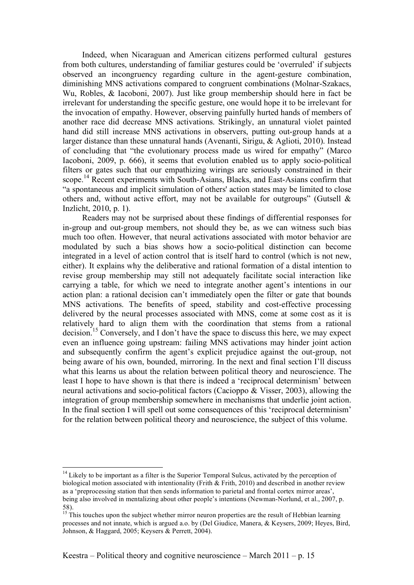Indeed, when Nicaraguan and American citizens performed cultural gestures from both cultures, understanding of familiar gestures could be 'overruled' if subjects observed an incongruency regarding culture in the agent-gesture combination, diminishing MNS activations compared to congruent combinations (Molnar-Szakacs, Wu, Robles, & Iacoboni, 2007). Just like group membership should here in fact be irrelevant for understanding the specific gesture, one would hope it to be irrelevant for the invocation of empathy. However, observing painfully hurted hands of members of another race did decrease MNS activations. Strikingly, an unnatural violet painted hand did still increase MNS activations in observers, putting out-group hands at a larger distance than these unnatural hands (Avenanti, Sirigu, & Aglioti, 2010). Instead of concluding that "the evolutionary process made us wired for empathy" (Marco Iacoboni, 2009, p. 666), it seems that evolution enabled us to apply socio-political filters or gates such that our empathizing wirings are seriously constrained in their scope.<sup>14</sup> Recent experiments with South-Asians, Blacks, and East-Asians confirm that "a spontaneous and implicit simulation of others' action states may be limited to close others and, without active effort, may not be available for outgroups" (Gutsell  $\&$ Inzlicht, 2010, p. 1).

Readers may not be surprised about these findings of differential responses for in-group and out-group members, not should they be, as we can witness such bias much too often. However, that neural activations associated with motor behavior are modulated by such a bias shows how a socio-political distinction can become integrated in a level of action control that is itself hard to control (which is not new, either). It explains why the deliberative and rational formation of a distal intention to revise group membership may still not adequately facilitate social interaction like carrying a table, for which we need to integrate another agent's intentions in our action plan: a rational decision can't immediately open the filter or gate that bounds MNS activations. The benefits of speed, stability and cost-effective processing delivered by the neural processes associated with MNS, come at some cost as it is relatively hard to align them with the coordination that stems from a rational decision.15 Conversely, and I don't have the space to discuss this here, we may expect even an influence going upstream: failing MNS activations may hinder joint action and subsequently confirm the agent's explicit prejudice against the out-group, not being aware of his own, bounded, mirroring. In the next and final section I'll discuss what this learns us about the relation between political theory and neuroscience. The least I hope to have shown is that there is indeed a 'reciprocal determinism' between neural activations and socio-political factors (Cacioppo & Visser, 2003), allowing the integration of group membership somewhere in mechanisms that underlie joint action. In the final section I will spell out some consequences of this 'reciprocal determinism' for the relation between political theory and neuroscience, the subject of this volume.

<sup>&</sup>lt;sup>14</sup> Likely to be important as a filter is the Superior Temporal Sulcus, activated by the perception of biological motion associated with intentionality (Frith  $\&$  Frith, 2010) and described in another review as a 'preprocessing station that then sends information to parietal and frontal cortex mirror areas', being also involved in mentalizing about other people's intentions (Newman-Norlund, et al., 2007, p. 58).<br><sup>15</sup> This touches upon the subject whether mirror neuron properties are the result of Hebbian learning

processes and not innate, which is argued a.o. by (Del Giudice, Manera, & Keysers, 2009; Heyes, Bird, Johnson, & Haggard, 2005; Keysers & Perrett, 2004).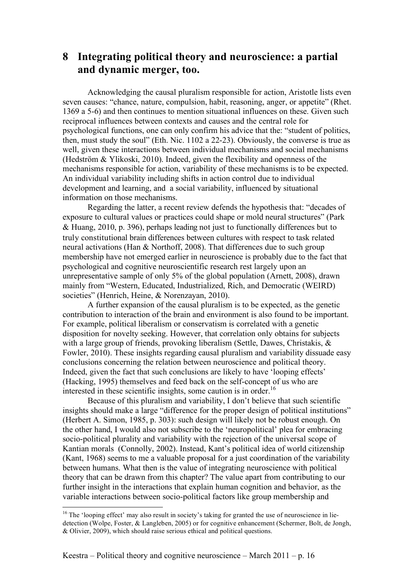### **8 Integrating political theory and neuroscience: a partial and dynamic merger, too.**

Acknowledging the causal pluralism responsible for action, Aristotle lists even seven causes: "chance, nature, compulsion, habit, reasoning, anger, or appetite" (Rhet. 1369 a 5-6) and then continues to mention situational influences on these. Given such reciprocal influences between contexts and causes and the central role for psychological functions, one can only confirm his advice that the: "student of politics, then, must study the soul" (Eth. Nic. 1102 a 22-23). Obviously, the converse is true as well, given these interactions between individual mechanisms and social mechanisms (Hedström & Ylikoski, 2010). Indeed, given the flexibility and openness of the mechanisms responsible for action, variability of these mechanisms is to be expected. An individual variability including shifts in action control due to individual development and learning, and a social variability, influenced by situational information on those mechanisms.

Regarding the latter, a recent review defends the hypothesis that: "decades of exposure to cultural values or practices could shape or mold neural structures" (Park & Huang, 2010, p. 396), perhaps leading not just to functionally differences but to truly constitutional brain differences between cultures with respect to task related neural activations (Han & Northoff, 2008). That differences due to such group membership have not emerged earlier in neuroscience is probably due to the fact that psychological and cognitive neuroscientific research rest largely upon an unrepresentative sample of only 5% of the global population (Arnett, 2008), drawn mainly from "Western, Educated, Industrialized, Rich, and Democratic (WEIRD) societies" (Henrich, Heine, & Norenzayan, 2010).

A further expansion of the causal pluralism is to be expected, as the genetic contribution to interaction of the brain and environment is also found to be important. For example, political liberalism or conservatism is correlated with a genetic disposition for novelty seeking. However, that correlation only obtains for subjects with a large group of friends, provoking liberalism (Settle, Dawes, Christakis, & Fowler, 2010). These insights regarding causal pluralism and variability dissuade easy conclusions concerning the relation between neuroscience and political theory. Indeed, given the fact that such conclusions are likely to have 'looping effects' (Hacking, 1995) themselves and feed back on the self-concept of us who are interested in these scientific insights, some caution is in order.<sup>16</sup>

Because of this pluralism and variability, I don't believe that such scientific insights should make a large "difference for the proper design of political institutions" (Herbert A. Simon, 1985, p. 303): such design will likely not be robust enough. On the other hand, I would also not subscribe to the 'neuropolitical' plea for embracing socio-political plurality and variability with the rejection of the universal scope of Kantian morals (Connolly, 2002). Instead, Kant's political idea of world citizenship (Kant, 1968) seems to me a valuable proposal for a just coordination of the variability between humans. What then is the value of integrating neuroscience with political theory that can be drawn from this chapter? The value apart from contributing to our further insight in the interactions that explain human cognition and behavior, as the variable interactions between socio-political factors like group membership and

<sup>&</sup>lt;sup>16</sup> The 'looping effect' may also result in society's taking for granted the use of neuroscience in liedetection (Wolpe, Foster, & Langleben, 2005) or for cognitive enhancement (Schermer, Bolt, de Jongh, & Olivier, 2009), which should raise serious ethical and political questions.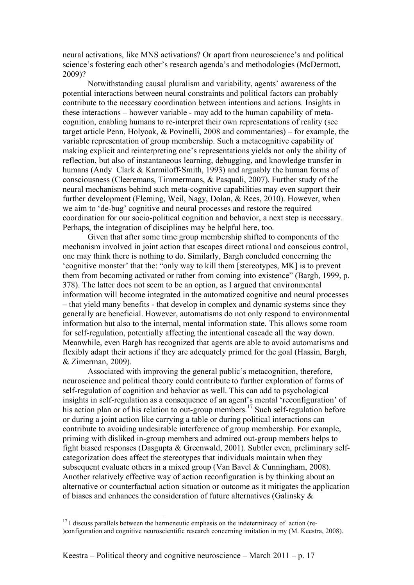neural activations, like MNS activations? Or apart from neuroscience's and political science's fostering each other's research agenda's and methodologies (McDermott, 2009)?

Notwithstanding causal pluralism and variability, agents' awareness of the potential interactions between neural constraints and political factors can probably contribute to the necessary coordination between intentions and actions. Insights in these interactions – however variable - may add to the human capability of metacognition, enabling humans to re-interpret their own representations of reality (see target article Penn, Holyoak, & Povinelli, 2008 and commentaries) – for example, the variable representation of group membership. Such a metacognitive capability of making explicit and reinterpreting one's representations yields not only the ability of reflection, but also of instantaneous learning, debugging, and knowledge transfer in humans (Andy Clark & Karmiloff-Smith, 1993) and arguably the human forms of consciousness (Cleeremans, Timmermans, & Pasquali, 2007). Further study of the neural mechanisms behind such meta-cognitive capabilities may even support their further development (Fleming, Weil, Nagy, Dolan, & Rees, 2010). However, when we aim to 'de-bug' cognitive and neural processes and restore the required coordination for our socio-political cognition and behavior, a next step is necessary. Perhaps, the integration of disciplines may be helpful here, too.

Given that after some time group membership shifted to components of the mechanism involved in joint action that escapes direct rational and conscious control, one may think there is nothing to do. Similarly, Bargh concluded concerning the 'cognitive monster' that the: "only way to kill them [stereotypes, MK] is to prevent them from becoming activated or rather from coming into existence" (Bargh, 1999, p. 378). The latter does not seem to be an option, as I argued that environmental information will become integrated in the automatized cognitive and neural processes – that yield many benefits - that develop in complex and dynamic systems since they generally are beneficial. However, automatisms do not only respond to environmental information but also to the internal, mental information state. This allows some room for self-regulation, potentially affecting the intentional cascade all the way down. Meanwhile, even Bargh has recognized that agents are able to avoid automatisms and flexibly adapt their actions if they are adequately primed for the goal (Hassin, Bargh, & Zimerman, 2009).

Associated with improving the general public's metacognition, therefore, neuroscience and political theory could contribute to further exploration of forms of self-regulation of cognition and behavior as well. This can add to psychological insights in self-regulation as a consequence of an agent's mental 'reconfiguration' of his action plan or of his relation to out-group members.<sup>17</sup> Such self-regulation before or during a joint action like carrying a table or during political interactions can contribute to avoiding undesirable interference of group membership. For example, priming with disliked in-group members and admired out-group members helps to fight biased responses (Dasgupta & Greenwald, 2001). Subtler even, preliminary selfcategorization does affect the stereotypes that individuals maintain when they subsequent evaluate others in a mixed group (Van Bavel & Cunningham, 2008). Another relatively effective way of action reconfiguration is by thinking about an alternative or counterfactual action situation or outcome as it mitigates the application of biases and enhances the consideration of future alternatives (Galinsky &

 $17$  I discuss parallels between the hermeneutic emphasis on the indeterminacy of action (re-)configuration and cognitive neuroscientific research concerning imitation in my (M. Keestra, 2008).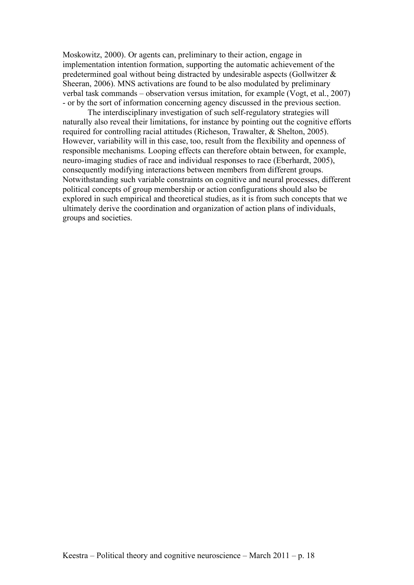Moskowitz, 2000). Or agents can, preliminary to their action, engage in implementation intention formation, supporting the automatic achievement of the predetermined goal without being distracted by undesirable aspects (Gollwitzer & Sheeran, 2006). MNS activations are found to be also modulated by preliminary verbal task commands – observation versus imitation, for example (Vogt, et al., 2007) - or by the sort of information concerning agency discussed in the previous section.

The interdisciplinary investigation of such self-regulatory strategies will naturally also reveal their limitations, for instance by pointing out the cognitive efforts required for controlling racial attitudes (Richeson, Trawalter, & Shelton, 2005). However, variability will in this case, too, result from the flexibility and openness of responsible mechanisms. Looping effects can therefore obtain between, for example, neuro-imaging studies of race and individual responses to race (Eberhardt, 2005), consequently modifying interactions between members from different groups. Notwithstanding such variable constraints on cognitive and neural processes, different political concepts of group membership or action configurations should also be explored in such empirical and theoretical studies, as it is from such concepts that we ultimately derive the coordination and organization of action plans of individuals, groups and societies.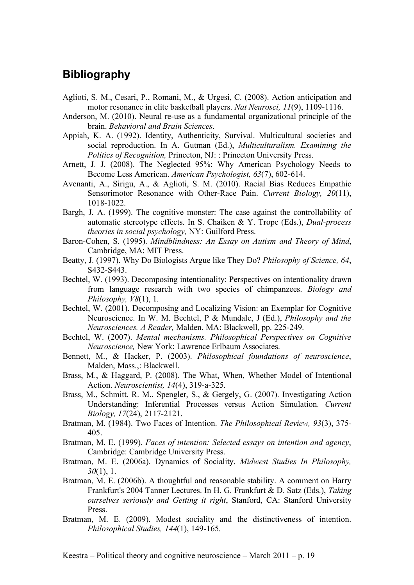### **Bibliography**

- Aglioti, S. M., Cesari, P., Romani, M., & Urgesi, C. (2008). Action anticipation and motor resonance in elite basketball players. *Nat Neurosci, 11*(9), 1109-1116.
- Anderson, M. (2010). Neural re-use as a fundamental organizational principle of the brain. *Behavioral and Brain Sciences*.
- Appiah, K. A. (1992). Identity, Authenticity, Survival. Multicultural societies and social reproduction. In A. Gutman (Ed.), *Multiculturalism. Examining the Politics of Recognition,* Princeton, NJ: : Princeton University Press.
- Arnett, J. J. (2008). The Neglected 95%: Why American Psychology Needs to Become Less American. *American Psychologist, 63*(7), 602-614.
- Avenanti, A., Sirigu, A., & Aglioti, S. M. (2010). Racial Bias Reduces Empathic Sensorimotor Resonance with Other-Race Pain. *Current Biology, 20*(11), 1018-1022.
- Bargh, J. A. (1999). The cognitive monster: The case against the controllability of automatic stereotype effects. In S. Chaiken & Y. Trope (Eds.), *Dual-process theories in social psychology,* NY: Guilford Press.
- Baron-Cohen, S. (1995). *Mindblindness: An Essay on Autism and Theory of Mind*, Cambridge, MA: MIT Press.
- Beatty, J. (1997). Why Do Biologists Argue like They Do? *Philosophy of Science, 64*, S432-S443.
- Bechtel, W. (1993). Decomposing intentionality: Perspectives on intentionality drawn from language research with two species of chimpanzees. *Biology and Philosophy, V8*(1), 1.
- Bechtel, W. (2001). Decomposing and Localizing Vision: an Exemplar for Cognitive Neuroscience. In W. M. Bechtel, P & Mundale, J (Ed.), *Philosophy and the Neurosciences. A Reader,* Malden, MA: Blackwell, pp. 225-249.
- Bechtel, W. (2007). *Mental mechanisms. Philosophical Perspectives on Cognitive Neuroscience,* New York: Lawrence Erlbaum Associates.
- Bennett, M., & Hacker, P. (2003). *Philosophical foundations of neuroscience*, Malden, Mass.,: Blackwell.
- Brass, M., & Haggard, P. (2008). The What, When, Whether Model of Intentional Action. *Neuroscientist, 14*(4), 319-a-325.
- Brass, M., Schmitt, R. M., Spengler, S., & Gergely, G. (2007). Investigating Action Understanding: Inferential Processes versus Action Simulation. *Current Biology, 17*(24), 2117-2121.
- Bratman, M. (1984). Two Faces of Intention. *The Philosophical Review, 93*(3), 375- 405.
- Bratman, M. E. (1999). *Faces of intention: Selected essays on intention and agency*, Cambridge: Cambridge University Press.
- Bratman, M. E. (2006a). Dynamics of Sociality. *Midwest Studies In Philosophy, 30*(1), 1.
- Bratman, M. E. (2006b). A thoughtful and reasonable stability. A comment on Harry Frankfurt's 2004 Tanner Lectures. In H. G. Frankfurt & D. Satz (Eds.), *Taking ourselves seriously and Getting it right*, Stanford, CA: Stanford University Press.
- Bratman, M. E. (2009). Modest sociality and the distinctiveness of intention. *Philosophical Studies, 144*(1), 149-165.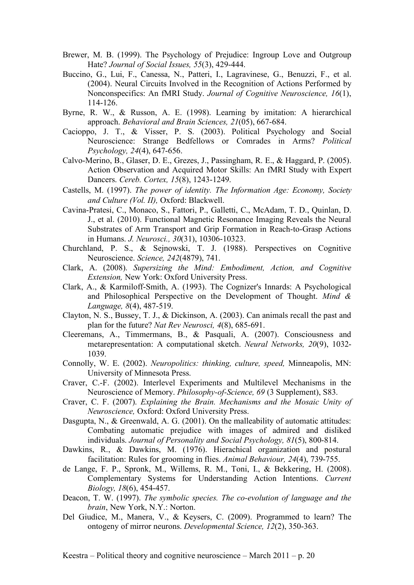- Brewer, M. B. (1999). The Psychology of Prejudice: Ingroup Love and Outgroup Hate? *Journal of Social Issues, 55*(3), 429-444.
- Buccino, G., Lui, F., Canessa, N., Patteri, I., Lagravinese, G., Benuzzi, F., et al. (2004). Neural Circuits Involved in the Recognition of Actions Performed by Nonconspecifics: An fMRI Study. *Journal of Cognitive Neuroscience, 16*(1), 114-126.
- Byrne, R. W., & Russon, A. E. (1998). Learning by imitation: A hierarchical approach. *Behavioral and Brain Sciences, 21*(05), 667-684.
- Cacioppo, J. T., & Visser, P. S. (2003). Political Psychology and Social Neuroscience: Strange Bedfellows or Comrades in Arms? *Political Psychology, 24*(4), 647-656.
- Calvo-Merino, B., Glaser, D. E., Grezes, J., Passingham, R. E., & Haggard, P. (2005). Action Observation and Acquired Motor Skills: An fMRI Study with Expert Dancers. *Cereb. Cortex, 15*(8), 1243-1249.
- Castells, M. (1997). *The power of identity. The Information Age: Economy, Society and Culture (Vol. II),* Oxford: Blackwell.
- Cavina-Pratesi, C., Monaco, S., Fattori, P., Galletti, C., McAdam, T. D., Quinlan, D. J., et al. (2010). Functional Magnetic Resonance Imaging Reveals the Neural Substrates of Arm Transport and Grip Formation in Reach-to-Grasp Actions in Humans. *J. Neurosci., 30*(31), 10306-10323.
- Churchland, P. S., & Sejnowski, T. J. (1988). Perspectives on Cognitive Neuroscience. *Science, 242*(4879), 741.
- Clark, A. (2008). *Supersizing the Mind: Embodiment, Action, and Cognitive Extension,* New York: Oxford University Press.
- Clark, A., & Karmiloff-Smith, A. (1993). The Cognizer's Innards: A Psychological and Philosophical Perspective on the Development of Thought. *Mind & Language, 8*(4), 487-519.
- Clayton, N. S., Bussey, T. J., & Dickinson, A. (2003). Can animals recall the past and plan for the future? *Nat Rev Neurosci, 4*(8), 685-691.
- Cleeremans, A., Timmermans, B., & Pasquali, A. (2007). Consciousness and metarepresentation: A computational sketch. *Neural Networks, 20*(9), 1032- 1039.
- Connolly, W. E. (2002). *Neuropolitics: thinking, culture, speed,* Minneapolis, MN: University of Minnesota Press.
- Craver, C.-F. (2002). Interlevel Experiments and Multilevel Mechanisms in the Neuroscience of Memory. *Philosophy-of-Science, 69* (3 Supplement), S83.
- Craver, C. F. (2007). *Explaining the Brain. Mechanisms and the Mosaic Unity of Neuroscience,* Oxford: Oxford University Press.
- Dasgupta, N., & Greenwald, A. G. (2001). On the malleability of automatic attitudes: Combating automatic prejudice with images of admired and disliked individuals. *Journal of Personality and Social Psychology, 81*(5), 800-814.
- Dawkins, R., & Dawkins, M. (1976). Hierachical organization and postural facilitation: Rules for grooming in flies. *Animal Behaviour, 24*(4), 739-755.
- de Lange, F. P., Spronk, M., Willems, R. M., Toni, I., & Bekkering, H. (2008). Complementary Systems for Understanding Action Intentions. *Current Biology, 18*(6), 454-457.
- Deacon, T. W. (1997). *The symbolic species. The co-evolution of language and the brain*, New York, N.Y.: Norton.
- Del Giudice, M., Manera, V., & Keysers, C. (2009). Programmed to learn? The ontogeny of mirror neurons. *Developmental Science, 12*(2), 350-363.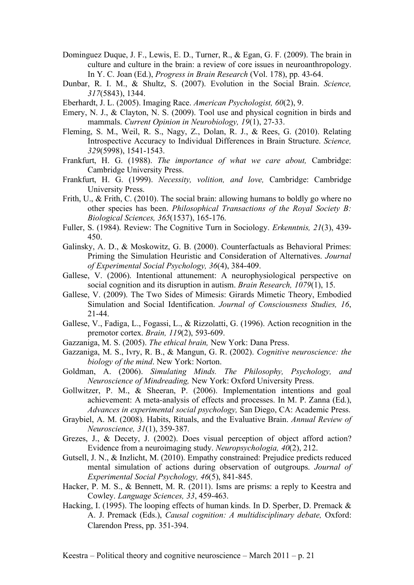- Dominguez Duque, J. F., Lewis, E. D., Turner, R., & Egan, G. F. (2009). The brain in culture and culture in the brain: a review of core issues in neuroanthropology. In Y. C. Joan (Ed.), *Progress in Brain Research* (Vol. 178), pp. 43-64.
- Dunbar, R. I. M., & Shultz, S. (2007). Evolution in the Social Brain. *Science, 317*(5843), 1344.
- Eberhardt, J. L. (2005). Imaging Race. *American Psychologist, 60*(2), 9.
- Emery, N. J., & Clayton, N. S. (2009). Tool use and physical cognition in birds and mammals. *Current Opinion in Neurobiology, 19*(1), 27-33.
- Fleming, S. M., Weil, R. S., Nagy, Z., Dolan, R. J., & Rees, G. (2010). Relating Introspective Accuracy to Individual Differences in Brain Structure. *Science, 329*(5998), 1541-1543.
- Frankfurt, H. G. (1988). *The importance of what we care about,* Cambridge: Cambridge University Press.
- Frankfurt, H. G. (1999). *Necessity, volition, and love,* Cambridge: Cambridge University Press.
- Frith, U., & Frith, C. (2010). The social brain: allowing humans to boldly go where no other species has been. *Philosophical Transactions of the Royal Society B: Biological Sciences, 365*(1537), 165-176.
- Fuller, S. (1984). Review: The Cognitive Turn in Sociology. *Erkenntnis, 21*(3), 439- 450.
- Galinsky, A. D., & Moskowitz, G. B. (2000). Counterfactuals as Behavioral Primes: Priming the Simulation Heuristic and Consideration of Alternatives. *Journal of Experimental Social Psychology, 36*(4), 384-409.
- Gallese, V. (2006). Intentional attunement: A neurophysiological perspective on social cognition and its disruption in autism. *Brain Research, 1079*(1), 15.
- Gallese, V. (2009). The Two Sides of Mimesis: Girards Mimetic Theory, Embodied Simulation and Social Identification. *Journal of Consciousness Studies, 16*, 21-44.
- Gallese, V., Fadiga, L., Fogassi, L., & Rizzolatti, G. (1996). Action recognition in the premotor cortex. *Brain, 119*(2), 593-609.
- Gazzaniga, M. S. (2005). *The ethical brain,* New York: Dana Press.
- Gazzaniga, M. S., Ivry, R. B., & Mangun, G. R. (2002). *Cognitive neuroscience: the biology of the mind*. New York: Norton.
- Goldman, A. (2006). *Simulating Minds. The Philosophy, Psychology, and Neuroscience of Mindreading,* New York: Oxford University Press.
- Gollwitzer, P. M., & Sheeran, P. (2006). Implementation intentions and goal achievement: A meta-analysis of effects and processes. In M. P. Zanna (Ed.), *Advances in experimental social psychology,* San Diego, CA: Academic Press.
- Graybiel, A. M. (2008). Habits, Rituals, and the Evaluative Brain. *Annual Review of Neuroscience, 31*(1), 359-387.
- Grezes, J., & Decety, J. (2002). Does visual perception of object afford action? Evidence from a neuroimaging study. *Neuropsychologia, 40*(2), 212.
- Gutsell, J. N., & Inzlicht, M. (2010). Empathy constrained: Prejudice predicts reduced mental simulation of actions during observation of outgroups. *Journal of Experimental Social Psychology, 46*(5), 841-845.
- Hacker, P. M. S., & Bennett, M. R. (2011). Isms are prisms: a reply to Keestra and Cowley. *Language Sciences, 33*, 459-463.
- Hacking, I. (1995). The looping effects of human kinds. In D. Sperber, D. Premack & A. J. Premack (Eds.), *Causal cognition: A multidisciplinary debate,* Oxford: Clarendon Press, pp. 351-394.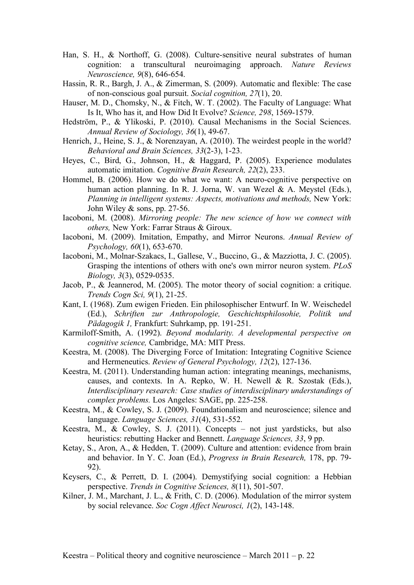- Han, S. H., & Northoff, G. (2008). Culture-sensitive neural substrates of human cognition: a transcultural neuroimaging approach. *Nature Reviews Neuroscience, 9*(8), 646-654.
- Hassin, R. R., Bargh, J. A., & Zimerman, S. (2009). Automatic and flexible: The case of non-conscious goal pursuit. *Social cognition, 27*(1), 20.
- Hauser, M. D., Chomsky, N., & Fitch, W. T. (2002). The Faculty of Language: What Is It, Who has it, and How Did It Evolve? *Science, 298*, 1569-1579.
- Hedström, P., & Ylikoski, P. (2010). Causal Mechanisms in the Social Sciences. *Annual Review of Sociology, 36*(1), 49-67.
- Henrich, J., Heine, S. J., & Norenzayan, A. (2010). The weirdest people in the world? *Behavioral and Brain Sciences, 33*(2-3), 1-23.
- Heyes, C., Bird, G., Johnson, H., & Haggard, P. (2005). Experience modulates automatic imitation. *Cognitive Brain Research, 22*(2), 233.
- Hommel, B. (2006). How we do what we want: A neuro-cognitive perspective on human action planning. In R. J. Jorna, W. van Wezel & A. Meystel (Eds.), *Planning in intelligent systems: Aspects, motivations and methods,* New York: John Wiley  $&$  sons, pp. 27-56.
- Iacoboni, M. (2008). *Mirroring people: The new science of how we connect with others,* New York: Farrar Straus & Giroux.
- Iacoboni, M. (2009). Imitation, Empathy, and Mirror Neurons. *Annual Review of Psychology, 60*(1), 653-670.
- Iacoboni, M., Molnar-Szakacs, I., Gallese, V., Buccino, G., & Mazziotta, J. C. (2005). Grasping the intentions of others with one's own mirror neuron system. *PLoS Biology, 3*(3), 0529-0535.
- Jacob, P., & Jeannerod, M. (2005). The motor theory of social cognition: a critique. *Trends Cogn Sci, 9*(1), 21-25.
- Kant, I. (1968). Zum ewigen Frieden. Ein philosophischer Entwurf. In W. Weischedel (Ed.), *Schriften zur Anthropologie, Geschichtsphilosohie, Politik und Pädagogik 1,* Frankfurt: Suhrkamp, pp. 191-251.
- Karmiloff-Smith, A. (1992). *Beyond modularity. A developmental perspective on cognitive science,* Cambridge, MA: MIT Press.
- Keestra, M. (2008). The Diverging Force of Imitation: Integrating Cognitive Science and Hermeneutics. *Review of General Psychology, 12*(2), 127-136.
- Keestra, M. (2011). Understanding human action: integrating meanings, mechanisms, causes, and contexts. In A. Repko, W. H. Newell & R. Szostak (Eds.), *Interdisciplinary research: Case studies of interdisciplinary understandings of complex problems.* Los Angeles: SAGE, pp. 225-258.
- Keestra, M., & Cowley, S. J. (2009). Foundationalism and neuroscience; silence and language. *Language Sciences, 31*(4), 531-552.
- Keestra, M., & Cowley, S. J. (2011). Concepts not just yardsticks, but also heuristics: rebutting Hacker and Bennett. *Language Sciences, 33*, 9 pp.
- Ketay, S., Aron, A., & Hedden, T. (2009). Culture and attention: evidence from brain and behavior. In Y. C. Joan (Ed.), *Progress in Brain Research,* 178, pp. 79- 92).
- Keysers, C., & Perrett, D. I. (2004). Demystifying social cognition: a Hebbian perspective. *Trends in Cognitive Sciences, 8*(11), 501-507.
- Kilner, J. M., Marchant, J. L., & Frith, C. D. (2006). Modulation of the mirror system by social relevance. *Soc Cogn Affect Neurosci, 1*(2), 143-148.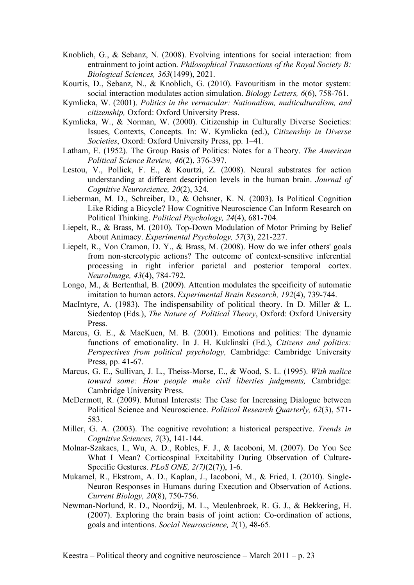- Knoblich, G., & Sebanz, N. (2008). Evolving intentions for social interaction: from entrainment to joint action. *Philosophical Transactions of the Royal Society B: Biological Sciences, 363*(1499), 2021.
- Kourtis, D., Sebanz, N., & Knoblich, G. (2010). Favouritism in the motor system: social interaction modulates action simulation. *Biology Letters, 6*(6), 758-761.
- Kymlicka, W. (2001). *Politics in the vernacular: Nationalism, multiculturalism, and citizenship,* Oxford: Oxford University Press.
- Kymlicka, W., & Norman, W. (2000). Citizenship in Culturally Diverse Societies: Issues, Contexts, Concepts. In: W. Kymlicka (ed.), *Citizenship in Diverse Societies*, Oxord: Oxford University Press, pp. 1–41.
- Latham, E. (1952). The Group Basis of Politics: Notes for a Theory. *The American Political Science Review, 46*(2), 376-397.
- Lestou, V., Pollick, F. E., & Kourtzi, Z. (2008). Neural substrates for action understanding at different description levels in the human brain. *Journal of Cognitive Neuroscience, 20*(2), 324.
- Lieberman, M. D., Schreiber, D., & Ochsner, K. N. (2003). Is Political Cognition Like Riding a Bicycle? How Cognitive Neuroscience Can Inform Research on Political Thinking. *Political Psychology, 24*(4), 681-704.
- Liepelt, R., & Brass, M. (2010). Top-Down Modulation of Motor Priming by Belief About Animacy. *Experimental Psychology, 57*(3), 221-227.
- Liepelt, R., Von Cramon, D. Y., & Brass, M. (2008). How do we infer others' goals from non-stereotypic actions? The outcome of context-sensitive inferential processing in right inferior parietal and posterior temporal cortex. *NeuroImage, 43*(4), 784-792.
- Longo, M., & Bertenthal, B. (2009). Attention modulates the specificity of automatic imitation to human actors. *Experimental Brain Research, 192*(4), 739-744.
- MacIntyre, A. (1983). The indispensability of political theory. In D. Miller & L. Siedentop (Eds.), *The Nature of Political Theory*, Oxford: Oxford University Press.
- Marcus, G. E., & MacKuen, M. B. (2001). Emotions and politics: The dynamic functions of emotionality. In J. H. Kuklinski (Ed.), *Citizens and politics: Perspectives from political psychology,* Cambridge: Cambridge University Press, pp. 41-67.
- Marcus, G. E., Sullivan, J. L., Theiss-Morse, E., & Wood, S. L. (1995). *With malice toward some: How people make civil liberties judgments,* Cambridge: Cambridge University Press.
- McDermott, R. (2009). Mutual Interests: The Case for Increasing Dialogue between Political Science and Neuroscience. *Political Research Quarterly, 62*(3), 571- 583.
- Miller, G. A. (2003). The cognitive revolution: a historical perspective. *Trends in Cognitive Sciences, 7*(3), 141-144.
- Molnar-Szakacs, I., Wu, A. D., Robles, F. J., & Iacoboni, M. (2007). Do You See What I Mean? Corticospinal Excitability During Observation of Culture-Specific Gestures. *PLoS ONE, 2(7)*(2(7)), 1-6.
- Mukamel, R., Ekstrom, A. D., Kaplan, J., Iacoboni, M., & Fried, I. (2010). Single-Neuron Responses in Humans during Execution and Observation of Actions. *Current Biology, 20*(8), 750-756.
- Newman-Norlund, R. D., Noordzij, M. L., Meulenbroek, R. G. J., & Bekkering, H. (2007). Exploring the brain basis of joint action: Co-ordination of actions, goals and intentions. *Social Neuroscience, 2*(1), 48-65.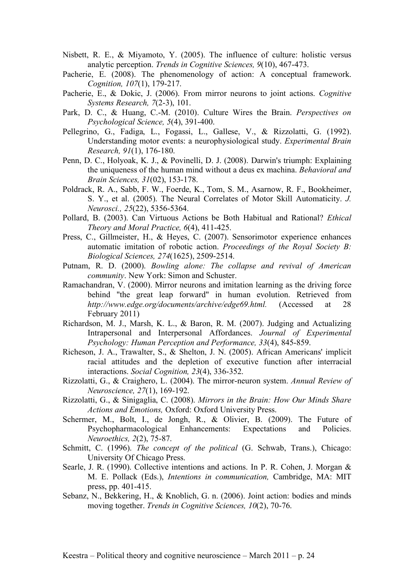- Nisbett, R. E., & Miyamoto, Y. (2005). The influence of culture: holistic versus analytic perception. *Trends in Cognitive Sciences, 9*(10), 467-473.
- Pacherie, E. (2008). The phenomenology of action: A conceptual framework. *Cognition, 107*(1), 179-217.
- Pacherie, E., & Dokic, J. (2006). From mirror neurons to joint actions. *Cognitive Systems Research, 7*(2-3), 101.
- Park, D. C., & Huang, C.-M. (2010). Culture Wires the Brain. *Perspectives on Psychological Science, 5*(4), 391-400.
- Pellegrino, G., Fadiga, L., Fogassi, L., Gallese, V., & Rizzolatti, G. (1992). Understanding motor events: a neurophysiological study. *Experimental Brain Research, 91*(1), 176-180.
- Penn, D. C., Holyoak, K. J., & Povinelli, D. J. (2008). Darwin's triumph: Explaining the uniqueness of the human mind without a deus ex machina. *Behavioral and Brain Sciences, 31*(02), 153-178.
- Poldrack, R. A., Sabb, F. W., Foerde, K., Tom, S. M., Asarnow, R. F., Bookheimer, S. Y., et al. (2005). The Neural Correlates of Motor Skill Automaticity. *J. Neurosci., 25*(22), 5356-5364.
- Pollard, B. (2003). Can Virtuous Actions be Both Habitual and Rational? *Ethical Theory and Moral Practice, 6*(4), 411-425.
- Press, C., Gillmeister, H., & Heyes, C. (2007). Sensorimotor experience enhances automatic imitation of robotic action. *Proceedings of the Royal Society B: Biological Sciences, 274*(1625), 2509-2514.
- Putnam, R. D. (2000). *Bowling alone: The collapse and revival of American community*. New York: Simon and Schuster.
- Ramachandran, V. (2000). Mirror neurons and imitation learning as the driving force behind "the great leap forward" in human evolution. Retrieved from *http://www.edge.org/documents/archive/edge69.html.* (Accessed at 28 February 2011)
- Richardson, M. J., Marsh, K. L., & Baron, R. M. (2007). Judging and Actualizing Intrapersonal and Interpersonal Affordances. *Journal of Experimental Psychology: Human Perception and Performance, 33*(4), 845-859.
- Richeson, J. A., Trawalter, S., & Shelton, J. N. (2005). African Americans' implicit racial attitudes and the depletion of executive function after interracial interactions. *Social Cognition, 23*(4), 336-352.
- Rizzolatti, G., & Craighero, L. (2004). The mirror-neuron system. *Annual Review of Neuroscience, 27*(1), 169-192.
- Rizzolatti, G., & Sinigaglia, C. (2008). *Mirrors in the Brain: How Our Minds Share Actions and Emotions,* Oxford: Oxford University Press.
- Schermer, M., Bolt, I., de Jongh, R., & Olivier, B. (2009). The Future of Psychopharmacological Enhancements: Expectations and Policies. *Neuroethics, 2*(2), 75-87.
- Schmitt, C. (1996). *The concept of the political* (G. Schwab, Trans.), Chicago: University Of Chicago Press.
- Searle, J. R. (1990). Collective intentions and actions. In P. R. Cohen, J. Morgan & M. E. Pollack (Eds.), *Intentions in communication,* Cambridge, MA: MIT press, pp. 401-415.
- Sebanz, N., Bekkering, H., & Knoblich, G. n. (2006). Joint action: bodies and minds moving together. *Trends in Cognitive Sciences, 10*(2), 70-76.